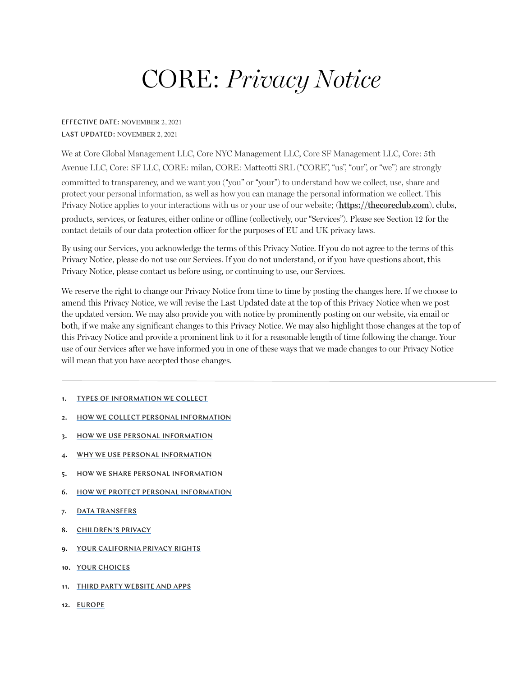# CORE: *Privacy Notice*

#### EFFECTIVE DATE: NOVEMBER 2, 2021 LAST UPDATED: NOVEMBER 2, 2021

We at Core Global Management LLC, Core NYC Management LLC, Core SF Management LLC, Core: 5th Avenue LLC, Core: SF LLC, CORE: milan, CORE: Matteotti SRL ("CORE", "us", "our", or "we") are strongly committed to transparency, and we want you ("you" or "your") to understand how we collect, use, share and protect your personal information, as well as how you can manage the personal information we collect. This Privacy Notice applies to your interactions with us or your use of our website; (**<https://thecoreclub.com>**), clubs, products, services, or features, either online or offline (collectively, our !Services"). Please see Section 12 for the contact details of our data protection officer for the purposes of EU and UK privacy laws.

By using our Services, you acknowledge the terms of this Privacy Notice. If you do not agree to the terms of this Privacy Notice, please do not use our Services. If you do not understand, or if you have questions about, this Privacy Notice, please contact us before using, or continuing to use, our Services.

We reserve the right to change our Privacy Notice from time to time by posting the changes here. If we choose to amend this Privacy Notice, we will revise the Last Updated date at the top of this Privacy Notice when we post the updated version. We may also provide you with notice by prominently posting on our website, via email or both, if we make any significant changes to this Privacy Notice. We may also highlight those changes at the top of this Privacy Notice and provide a prominent link to it for a reasonable length of time following the change. Your use of our Services after we have informed you in one of these ways that we made changes to our Privacy Notice will mean that you have accepted those changes.

#### 1. [TYPES OF INFORMATION WE COLLECT](#page-1-0)

- 2. HOW WE COLLECT PERSONAL INFORMATION
- 3. HOW WE USE PERSONAL INFORMATION
- 4. WHY WE USE PERSONAL INFORMATION
- 5. HOW WE SHARE PERSONAL INFORMATION
- 6. HOW WE PROTECT PERSONAL INFORMATION
- 7. DATA TRANSFERS
- 8. CHILDREN'S PRIVACY
- 9. YOUR CALIFORNIA PRIVACY RIGHTS
- 10. [YOUR CHOICES](#page-6-0)
- 11. THIRD PARTY WEBSITE AND APPS
- 12. [EUROPE](#page-8-0)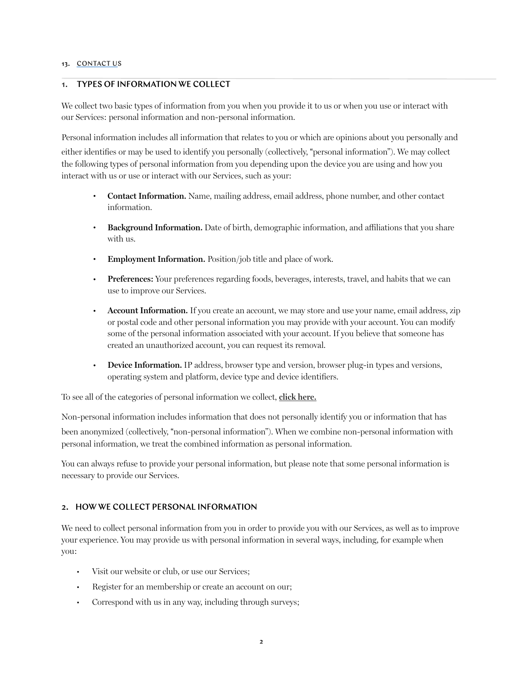#### 13. CONTACT US

# <span id="page-1-0"></span>1. TYPES OF INFORMATION WE COLLECT

We collect two basic types of information from you when you provide it to us or when you use or interact with our Services: personal information and non-personal information.

Personal information includes all information that relates to you or which are opinions about you personally and

either identifies or may be used to identify you personally (collectively, "personal information"). We may collect the following types of personal information from you depending upon the device you are using and how you interact with us or use or interact with our Services, such as your:

- **Contact Information.** Name, mailing address, email address, phone number, and other contact information.
- **Background Information.** Date of birth, demographic information, and affiliations that you share with us.
- **Employment Information.** Position/job title and place of work.
- **Preferences:** Your preferences regarding foods, beverages, interests, travel, and habits that we can use to improve our Services.
- **Account Information.** If you create an account, we may store and use your name, email address, zip or postal code and other personal information you may provide with your account. You can modify some of the personal information associated with your account. If you believe that someone has created an unauthorized account, you can request its removal.
- **Device Information.** IP address, browser type and version, browser plug-in types and versions, operating system and platform, device type and device identifiers.

To see all of the categories of personal information we collect, **[click here.](https://member.thecoreclub.com/privacy.aspx)**

Non-personal information includes information that does not personally identify you or information that has been anonymized (collectively, "non-personal information"). When we combine non-personal information with personal information, we treat the combined information as personal information.

You can always refuse to provide your personal information, but please note that some personal information is necessary to provide our Services.

# 2. HOW WE COLLECT PERSONAL INFORMATION

We need to collect personal information from you in order to provide you with our Services, as well as to improve your experience. You may provide us with personal information in several ways, including, for example when you:

- Visit our website or club, or use our Services;
- Register for an membership or create an account on our;
- Correspond with us in any way, including through surveys;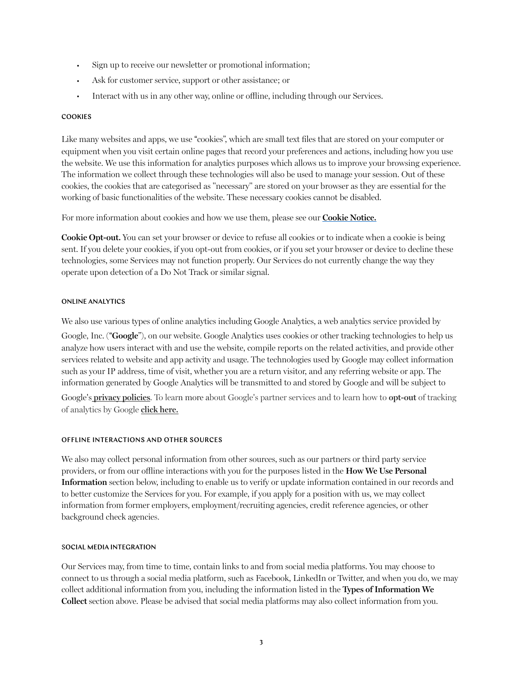- Sign up to receive our newsletter or promotional information;
- Ask for customer service, support or other assistance; or
- Interact with us in any other way, online or offline, including through our Services.

#### **COOKIES**

Like many websites and apps, we use "cookies", which are small text files that are stored on your computer or equipment when you visit certain online pages that record your preferences and actions, including how you use the website. We use this information for analytics purposes which allows us to improve your browsing experience. The information we collect through these technologies will also be used to manage your session. Out of these cookies, the cookies that are categorised as "necessary" are stored on your browser as they are essential for the working of basic functionalities of the website. These necessary cookies cannot be disabled.

For more information about cookies and how we use them, please see our **[Cookie Notice.](https://member.thecoreclub.com/privacy.aspx)**

**Cookie Opt-out.** You can set your browser or device to refuse all cookies or to indicate when a cookie is being sent. If you delete your cookies, if you opt-out from cookies, or if you set your browser or device to decline these technologies, some Services may not function properly. Our Services do not currently change the way they operate upon detection of a [Do Not Track](https://www.consumer.ftc.gov/articles/0042-online-tracking) or similar signal.

#### ONLINE ANALYTICS

We also use various types of online analytics including Google Analytics, a web analytics service provided by

Google, Inc. (!**Google**"), on our website. Google Analytics uses cookies or other tracking technologies to help us analyze how users interact with and use the website, compile reports on the related activities, and provide other services related to website and app activity and usage. The technologies used by Google may collect information such as your IP address, time of visit, whether you are a return visitor, and any referring website or app. The information generated by Google Analytics will be transmitted to and stored by Google and will be subject to

Google"s **[privacy policies](http://www.google.com/policies/privacy/partners/)**. To learn more about Google"s partner services and to learn how to **opt-out** of tracking of analytics by Google **[click here](https://tools.google.com/dlpage/gaoptout/).**

#### OFFLINE INTERACTIONS AND OTHER SOURCES

We also may collect personal information from other sources, such as our partners or third party service providers, or from our offline interactions with you for the purposes listed in the **How We Use Personal Information** section below, including to enable us to verify or update information contained in our records and to better customize the Services for you. For example, if you apply for a position with us, we may collect information from former employers, employment/recruiting agencies, credit reference agencies, or other background check agencies.

#### SOCIAL MEDIA INTEGRATION

Our Services may, from time to time, contain links to and from social media platforms. You may choose to connect to us through a social media platform, such as Facebook, LinkedIn or Twitter, and when you do, we may collect additional information from you, including the information listed in the **Types of Information We Collect** section above. Please be advised that social media platforms may also collect information from you.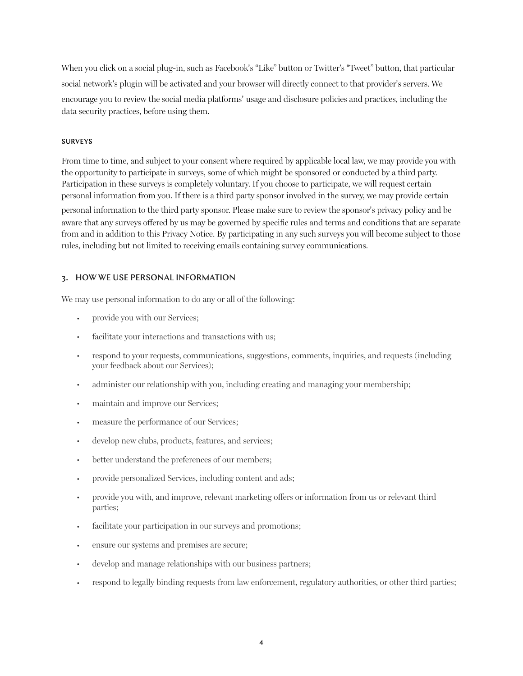When you click on a social plug-in, such as Facebook's "Like" button or Twitter's "Tweet" button, that particular social network"s plugin will be activated and your browser will directly connect to that provider"s servers. We encourage you to review the social media platforms" usage and disclosure policies and practices, including the data security practices, before using them.

#### SURVEYS

From time to time, and subject to your consent where required by applicable local law, we may provide you with the opportunity to participate in surveys, some of which might be sponsored or conducted by a third party. Participation in these surveys is completely voluntary. If you choose to participate, we will request certain personal information from you. If there is a third party sponsor involved in the survey, we may provide certain

personal information to the third party sponsor. Please make sure to review the sponsor"s privacy policy and be aware that any surveys offered by us may be governed by specific rules and terms and conditions that are separate from and in addition to this Privacy Notice. By participating in any such surveys you will become subject to those rules, including but not limited to receiving emails containing survey communications.

## 3. HOW WE USE PERSONAL INFORMATION

We may use personal information to do any or all of the following:

- provide you with our Services;
- facilitate your interactions and transactions with us;
- respond to your requests, communications, suggestions, comments, inquiries, and requests (including your feedback about our Services);
- administer our relationship with you, including creating and managing your membership;
- maintain and improve our Services;
- measure the performance of our Services;
- develop new clubs, products, features, and services;
- better understand the preferences of our members;
- provide personalized Services, including content and ads;
- provide you with, and improve, relevant marketing offers or information from us or relevant third parties;
- facilitate your participation in our surveys and promotions;
- ensure our systems and premises are secure;
- develop and manage relationships with our business partners;
- respond to legally binding requests from law enforcement, regulatory authorities, or other third parties;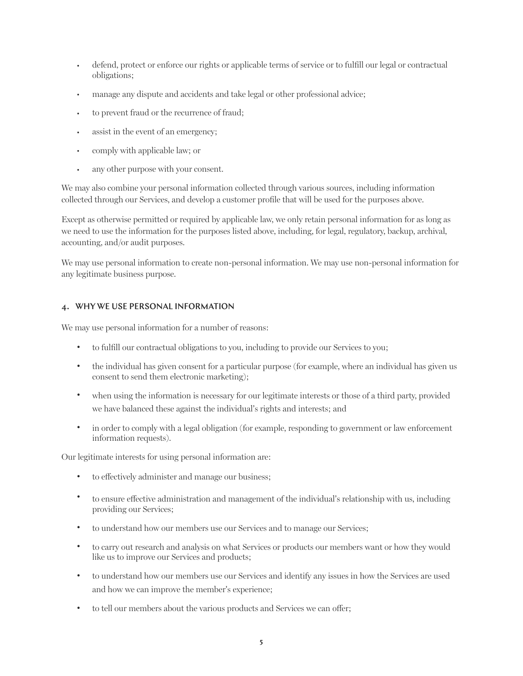- defend, protect or enforce our rights or applicable terms of service or to fulfill our legal or contractual obligations;
- manage any dispute and accidents and take legal or other professional advice;
- to prevent fraud or the recurrence of fraud;
- assist in the event of an emergency;
- comply with applicable law; or
- any other purpose with your consent.

We may also combine your personal information collected through various sources, including information collected through our Services, and develop a customer profile that will be used for the purposes above.

Except as otherwise permitted or required by applicable law, we only retain personal information for as long as we need to use the information for the purposes listed above, including, for legal, regulatory, backup, archival, accounting, and/or audit purposes.

We may use personal information to create non-personal information. We may use non-personal information for any legitimate business purpose.

#### 4. WHY WE USE PERSONAL INFORMATION

We may use personal information for a number of reasons:

- to fulfill our contractual obligations to you, including to provide our Services to you;
- the individual has given consent for a particular purpose (for example, where an individual has given us consent to send them electronic marketing);
- when using the information is necessary for our legitimate interests or those of a third party, provided we have balanced these against the individual"s rights and interests; and
- in order to comply with a legal obligation (for example, responding to government or law enforcement information requests).

Our legitimate interests for using personal information are:

- to effectively administer and manage our business;
- to ensure effective administration and management of the individual"s relationship with us, including providing our Services;
- to understand how our members use our Services and to manage our Services;
- to carry out research and analysis on what Services or products our members want or how they would like us to improve our Services and products;
- to understand how our members use our Services and identify any issues in how the Services are used and how we can improve the member's experience;
- to tell our members about the various products and Services we can offer;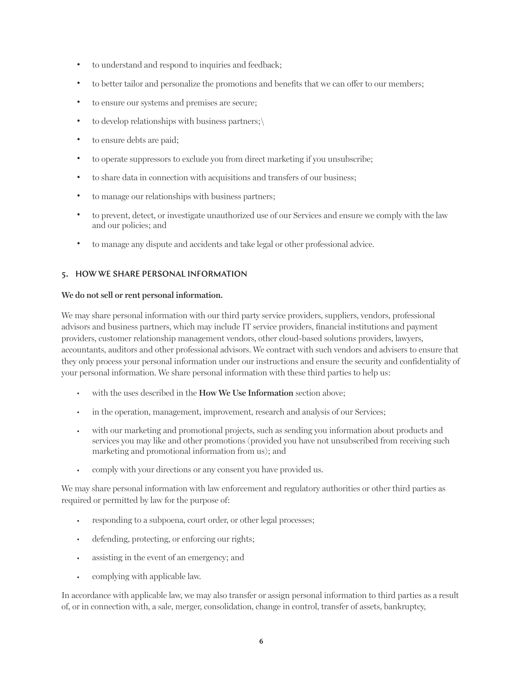- to understand and respond to inquiries and feedback;
- to better tailor and personalize the promotions and benefits that we can offer to our members;
- to ensure our systems and premises are secure;
- to develop relationships with business partners; $\setminus$
- to ensure debts are paid;
- to operate suppressors to exclude you from direct marketing if you unsubscribe;
- to share data in connection with acquisitions and transfers of our business;
- to manage our relationships with business partners;
- to prevent, detect, or investigate unauthorized use of our Services and ensure we comply with the law and our policies; and
- to manage any dispute and accidents and take legal or other professional advice.

## 5. HOW WE SHARE PERSONAL INFORMATION

#### **We do not sell or rent personal information.**

We may share personal information with our third party service providers, suppliers, vendors, professional advisors and business partners, which may include IT service providers, financial institutions and payment providers, customer relationship management vendors, other cloud-based solutions providers, lawyers, accountants, auditors and other professional advisors. We contract with such vendors and advisers to ensure that they only process your personal information under our instructions and ensure the security and confidentiality of your personal information. We share personal information with these third parties to help us:

- with the uses described in the **How We Use Information** section above;
- in the operation, management, improvement, research and analysis of our Services;
- with our marketing and promotional projects, such as sending you information about products and services you may like and other promotions (provided you have not unsubscribed from receiving such marketing and promotional information from us); and
- comply with your directions or any consent you have provided us.

We may share personal information with law enforcement and regulatory authorities or other third parties as required or permitted by law for the purpose of:

- responding to a subpoena, court order, or other legal processes;
- defending, protecting, or enforcing our rights;
- assisting in the event of an emergency; and
- complying with applicable law.

In accordance with applicable law, we may also transfer or assign personal information to third parties as a result of, or in connection with, a sale, merger, consolidation, change in control, transfer of assets, bankruptcy,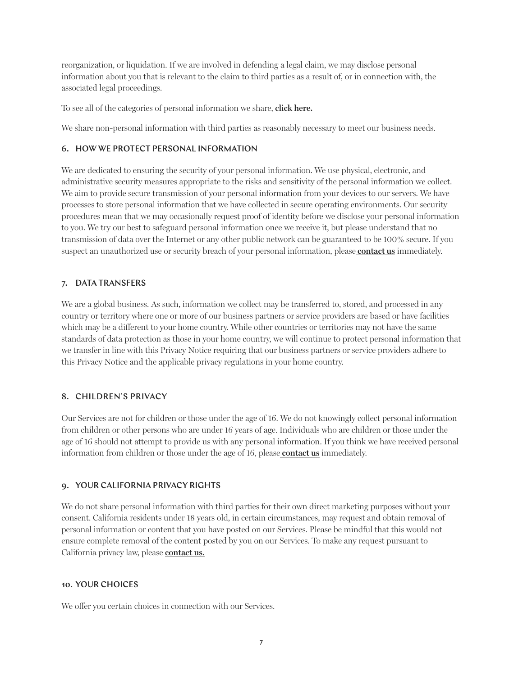reorganization, or liquidation. If we are involved in defending a legal claim, we may disclose personal information about you that is relevant to the claim to third parties as a result of, or in connection with, the associated legal proceedings.

To see all of the categories of personal information we share, **click here.**

We share non-personal information with third parties as reasonably necessary to meet our business needs.

#### 6. HOW WE PROTECT PERSONAL INFORMATION

We are dedicated to ensuring the security of your personal information. We use physical, electronic, and administrative security measures appropriate to the risks and sensitivity of the personal information we collect. We aim to provide secure transmission of your personal information from your devices to our servers. We have processes to store personal information that we have collected in secure operating environments. Our security procedures mean that we may occasionally request proof of identity before we disclose your personal information to you. We try our best to safeguard personal information once we receive it, but please understand that no transmission of data over the Internet or any other public network can be guaranteed to be 100% secure. If you suspect an unauthorized use or security breach of your personal information, please **[contact us](#page-8-1)** immediately.

#### 7. DATA TRANSFERS

We are a global business. As such, information we collect may be transferred to, stored, and processed in any country or territory where one or more of our business partners or service providers are based or have facilities which may be a different to your home country. While other countries or territories may not have the same standards of data protection as those in your home country, we will continue to protect personal information that we transfer in line with this Privacy Notice requiring that our business partners or service providers adhere to this Privacy Notice and the applicable privacy regulations in your home country.

#### 8. CHILDREN"S PRIVACY

Our Services are not for children or those under the age of 16. We do not knowingly collect personal information from children or other persons who are under 16 years of age. Individuals who are children or those under the age of 16 should not attempt to provide us with any personal information. If you think we have received personal information from children or those under the age of 16, please **[contact us](#page-8-1)** immediately.

#### 9. YOUR CALIFORNIA PRIVACY RIGHTS

We do not share personal information with third parties for their own direct marketing purposes without your consent. California residents under 18 years old, in certain circumstances, may request and obtain removal of personal information or content that you have posted on our Services. Please be mindful that this would not ensure complete removal of the content posted by you on our Services. To make any request pursuant to California privacy law, please **contact us.**

#### <span id="page-6-0"></span>10. YOUR CHOICES

We offer you certain choices in connection with our Services.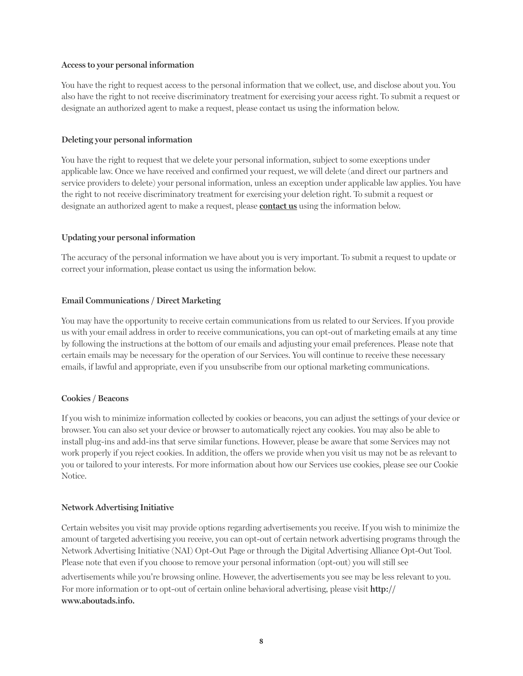#### **Access to your personal information**

You have the right to request access to the personal information that we collect, use, and disclose about you. You also have the right to not receive discriminatory treatment for exercising your access right. To submit a request or designate an authorized agent to make a request, please contact us using the information below.

#### **Deleting your personal information**

You have the right to request that we delete your personal information, subject to some exceptions under applicable law. Once we have received and confirmed your request, we will delete (and direct our partners and service providers to delete) your personal information, unless an exception under applicable law applies. You have the right to not receive discriminatory treatment for exercising your deletion right. To submit a request or designate an authorized agent to make a request, please **contact us** using the information below.

#### **Updating your personal information**

The accuracy of the personal information we have about you is very important. To submit a request to update or correct your information, please [contact us](#page-6-0) using the information below.

#### **Email Communications / Direct Marketing**

You may have the opportunity to receive certain communications from us related to our Services. If you provide us with your email address in order to receive communications, you can opt-out of marketing emails at any time by following the instructions at the bottom of our emails and adjusting your email preferences. Please note that certain emails may be necessary for the operation of our Services. You will continue to receive these necessary emails, if lawful and appropriate, even if you unsubscribe from our optional marketing communications.

#### **Cookies / Beacons**

If you wish to minimize information collected by cookies or beacons, you can adjust the settings of your device or browser. You can also set your device or browser to automatically reject any cookies. You may also be able to install plug-ins and add-ins that serve similar functions. However, please be aware that some Services may not work properly if you reject cookies. In addition, the offers we provide when you visit us may not be as relevant to you or tailored to your interests. For more information about how our Services use cookies, please see our Cookie Notice.

#### **Network Advertising Initiative**

Certain websites you visit may provide options regarding advertisements you receive. If you wish to minimize the amount of targeted advertising you receive, you can opt-out of certain network advertising programs through the Network Advertising Initiative (NAI) Opt-Out Page or through the Digital Advertising Alliance Opt-Out Tool. Please note that even if you choose to remove your personal information (opt-out) you will still see

advertisements while you"re browsing online. However, the advertisements you see may be less relevant to you. For more information or to opt-out of certain online behavioral advertising, please visit **[http://](http://www.aboutads.info) [www.aboutads.info](http://www.aboutads.info).**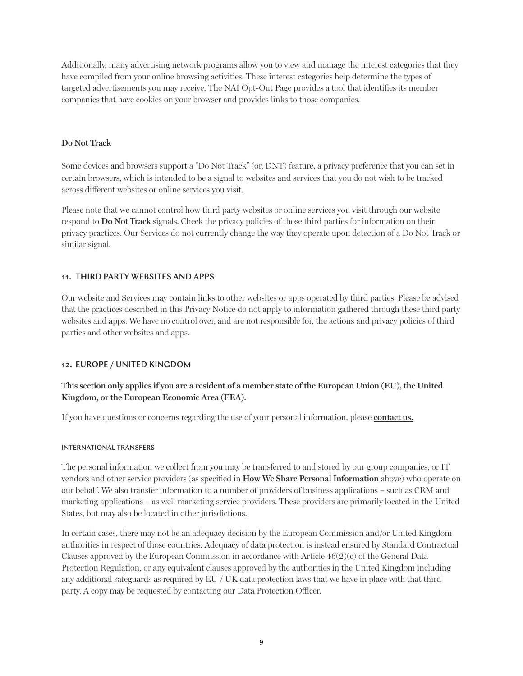Additionally, many advertising network programs allow you to view and manage the interest categories that they have compiled from your online browsing activities. These interest categories help determine the types of targeted advertisements you may receive. The NAI Opt-Out Page provides a tool that identifies its member companies that have cookies on your browser and provides links to those companies.

#### **Do Not Track**

Some devices and browsers support a "Do Not Track" (or, DNT) feature, a privacy preference that you can set in certain browsers, which is intended to be a signal to websites and services that you do not wish to be tracked across different websites or online services you visit.

Please note that we cannot control how third party websites or online services you visit through our website respond to **Do Not Track** signals. Check the privacy policies of those third parties for information on their privacy practices. Our Services do not currently change the way they operate upon detection of a [Do Not Track](https://www.consumer.ftc.gov/articles/0042-online-tracking) or similar signal.

#### 11. THIRD PARTY WEBSITES AND APPS

Our website and Services may contain links to other websites or apps operated by third parties. Please be advised that the practices described in this Privacy Notice do not apply to information gathered through these third party websites and apps. We have no control over, and are not responsible for, the actions and privacy policies of third parties and other websites and apps.

#### <span id="page-8-1"></span><span id="page-8-0"></span>12. EUROPE / UNITED KINGDOM

# **This section only applies if you are a resident of a member state of the European Union (EU), the United Kingdom, or the European Economic Area (EEA).**

If you have questions or concerns regarding the use of your personal information, please **[contact us](#page-8-0).**

#### INTERNATIONAL TRANSFERS

The personal information we collect from you may be transferred to and stored by our group companies, or IT vendors and other service providers (as specified in **How We Share Personal Information** above) who operate on our behalf. We also transfer information to a number of providers of business applications – such as CRM and marketing applications – as well marketing service providers. These providers are primarily located in the United States, but may also be located in other jurisdictions.

In certain cases, there may not be an adequacy decision by the European Commission and/or United Kingdom authorities in respect of those countries. Adequacy of data protection is instead ensured by Standard Contractual Clauses approved by the European Commission in accordance with Article  $46(2)(c)$  of the General Data Protection Regulation, or any equivalent clauses approved by the authorities in the United Kingdom including any additional safeguards as required by EU / UK data protection laws that we have in place with that third party. A copy may be requested by contacting our Data Protection Officer.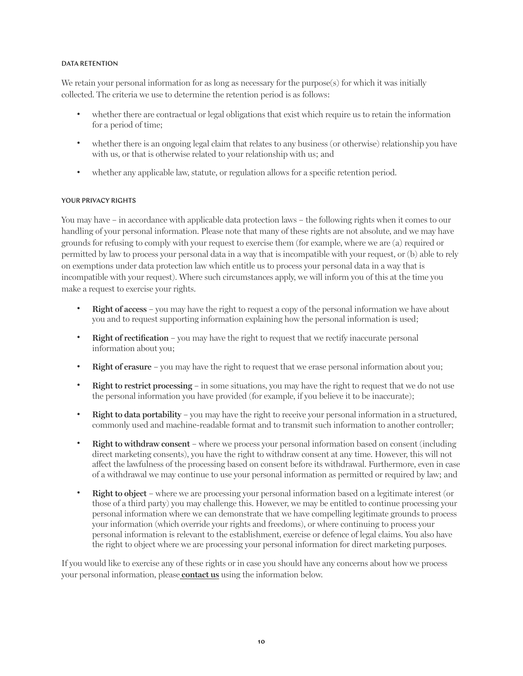#### DATA RETENTION

We retain your personal information for as long as necessary for the purpose(s) for which it was initially collected. The criteria we use to determine the retention period is as follows:

- whether there are contractual or legal obligations that exist which require us to retain the information for a period of time;
- whether there is an ongoing legal claim that relates to any business (or otherwise) relationship you have with us, or that is otherwise related to your relationship with us; and
- whether any applicable law, statute, or regulation allows for a specific retention period.

#### YOUR PRIVACY RIGHTS

You may have – in accordance with applicable data protection laws – the following rights when it comes to our handling of your personal information. Please note that many of these rights are not absolute, and we may have grounds for refusing to comply with your request to exercise them (for example, where we are (a) required or permitted by law to process your personal data in a way that is incompatible with your request, or (b) able to rely on exemptions under data protection law which entitle us to process your personal data in a way that is incompatible with your request). Where such circumstances apply, we will inform you of this at the time you make a request to exercise your rights.

- **Right of access** you may have the right to request a copy of the personal information we have about you and to request supporting information explaining how the personal information is used;
- **Right of rectification** you may have the right to request that we rectify inaccurate personal information about you;
- **Right of erasure** you may have the right to request that we erase personal information about you;
- **Right to restrict processing** in some situations, you may have the right to request that we do not use the personal information you have provided (for example, if you believe it to be inaccurate);
- **Right to data portability** you may have the right to receive your personal information in a structured, commonly used and machine-readable format and to transmit such information to another controller;
- **Right to withdraw consent** where we process your personal information based on consent (including direct marketing consents), you have the right to withdraw consent at any time. However, this will not affect the lawfulness of the processing based on consent before its withdrawal. Furthermore, even in case of a withdrawal we may continue to use your personal information as permitted or required by law; and
- **Right to object** where we are processing your personal information based on a legitimate interest (or those of a third party) you may challenge this. However, we may be entitled to continue processing your personal information where we can demonstrate that we have compelling legitimate grounds to process your information (which override your rights and freedoms), or where continuing to process your personal information is relevant to the establishment, exercise or defence of legal claims. You also have the right to object where we are processing your personal information for direct marketing purposes.

If you would like to exercise any of these rights or in case you should have any concerns about how we process your personal information, please **[contact us](#page-8-0)** using the information below.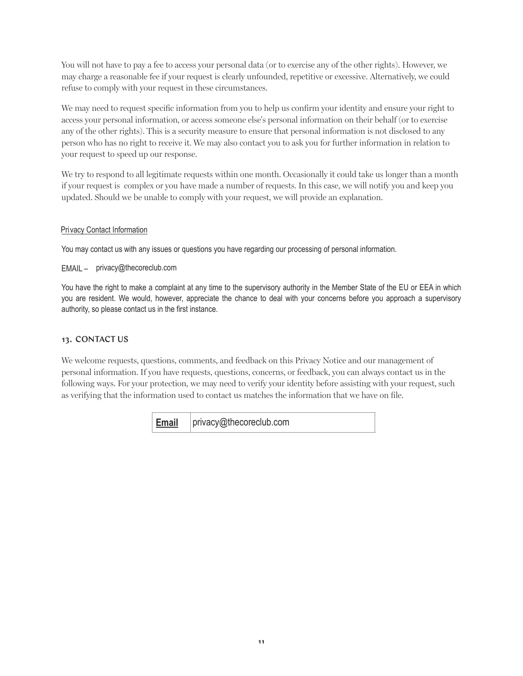You will not have to pay a fee to access your personal data (or to exercise any of the other rights). However, we may charge a reasonable fee if your request is clearly unfounded, repetitive or excessive. Alternatively, we could refuse to comply with your request in these circumstances.

We may need to request specific information from you to help us confirm your identity and ensure your right to access your personal information, or access someone else's personal information on their behalf (or to exercise any of the other rights). This is a security measure to ensure that personal information is not disclosed to any person who has no right to receive it. We may also contact you to ask you for further information in relation to your request to speed up our response.

We try to respond to all legitimate requests within one month. Occasionally it could take us longer than a month if your request is complex or you have made a number of requests. In this case, we will notify you and keep you updated. Should we be unable to comply with your request, we will provide an explanation.

#### **Privacy Contact Information**

You may contact us with any issues or questions you have regarding our processing of personal information.

EMAIL - privacy@thecoreclub.com

You have the right to make a complaint at any time to the supervisory authority in the Member State of the EU or EEA in which you are resident. We would, however, appreciate the chance to deal with your concerns before you approach a supervisory authority, so please contact us in the first instance.

# 13. CONTACT US

We welcome requests, questions, comments, and feedback on this Privacy Notice and our management of personal information. If you have requests, questions, concerns, or feedback, you can always contact us in the following ways. For your protection, we may need to verify your identity before assisting with your request, such as verifying that the information used to contact us matches the information that we have on file.

> **Email** privacy@thecoreclub.com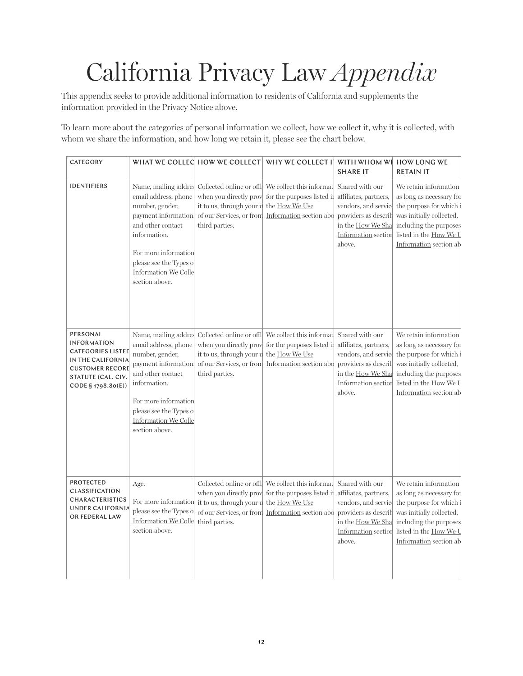# California Privacy Law *Appendix*

This appendix seeks to provide additional information to residents of California and supplements the information provided in the Privacy Notice above.

To learn more about the categories of personal information we collect, how we collect it, why it is collected, with whom we share the information, and how long we retain it, please see the chart below.

| CATEGORY                                                                                                                                              |                                                                                                                                                                                                                                  | WHAT WE COLLEC HOW WE COLLECT                                                                                                | WHY WE COLLECT IT WITH WHOM WE HOW LONG WE                                                                                   | <b>SHARE IT</b>                                                                                                                                | <b>RETAIN IT</b>                                                                                                                                                                     |
|-------------------------------------------------------------------------------------------------------------------------------------------------------|----------------------------------------------------------------------------------------------------------------------------------------------------------------------------------------------------------------------------------|------------------------------------------------------------------------------------------------------------------------------|------------------------------------------------------------------------------------------------------------------------------|------------------------------------------------------------------------------------------------------------------------------------------------|--------------------------------------------------------------------------------------------------------------------------------------------------------------------------------------|
| <b>IDENTIFIERS</b>                                                                                                                                    | Name, mailing addres<br>email address, phone<br>number, gender,<br>payment information.<br>and other contact<br>information.<br>For more information<br>please see the Types of<br>Information We Colle<br>section above.        | when you directly prov<br>it to us, through your u<br>of our Services, or from<br>third parties.                             | Collected online or offl We collect this informat<br>for the purposes listed in<br>the How We Use<br>Information section abd | Shared with our<br>affiliates, partners,<br>vendors, and service<br>providers as describ<br>in the How We Sha<br>Information section<br>above. | We retain information<br>as long as necessary for<br>the purpose for which<br>was initially collected,<br>including the purposes<br>listed in the How We L<br>Information section ab |
| PERSONAL<br><b>INFORMATION</b><br><b>CATEGORIES LISTED</b><br>IN THE CALIFORNIA<br><b>CUSTOMER RECORD</b><br>STATUTE (CAL. CIV.<br>CODE § 1798.80(E)) | Name, mailing addres<br>email address, phone<br>number, gender,<br>payment information.<br>and other contact<br>information.<br>For more information<br>please see the Types of<br><b>Information We Colle</b><br>section above. | when you directly prov<br>it to us, through your u<br>of our Services, or from<br>third parties.                             | Collected online or offl We collect this informat<br>for the purposes listed in<br>the How We Use<br>Information section abo | Shared with our<br>affiliates, partners,<br>vendors, and service<br>providers as describ<br>in the How We Sha<br>Information section<br>above. | We retain information<br>as long as necessary for<br>the purpose for which<br>was initially collected,<br>including the purposes<br>listed in the How We L<br>Information section ab |
| <b>PROTECTED</b><br>CLASSIFICATION<br><b>CHARACTERISTICS</b><br><b>UNDER CALIFORNIA</b><br>OR FEDERAL LAW                                             | Age.<br>For more information<br>please see the Types of<br><b>Information We Colle</b><br>section above.                                                                                                                         | Collected online or offl<br>when you directly prov<br>it to us, through your u<br>of our Services, or from<br>third parties. | We collect this informat<br>for the purposes listed in<br>the How We Use<br>Information section abd                          | Shared with our<br>affiliates, partners,<br>vendors, and service<br>providers as describ<br>in the How We Sha<br>Information section<br>above. | We retain information<br>as long as necessary for<br>the purpose for which<br>was initially collected,<br>including the purposes<br>listed in the How We L<br>Information section ab |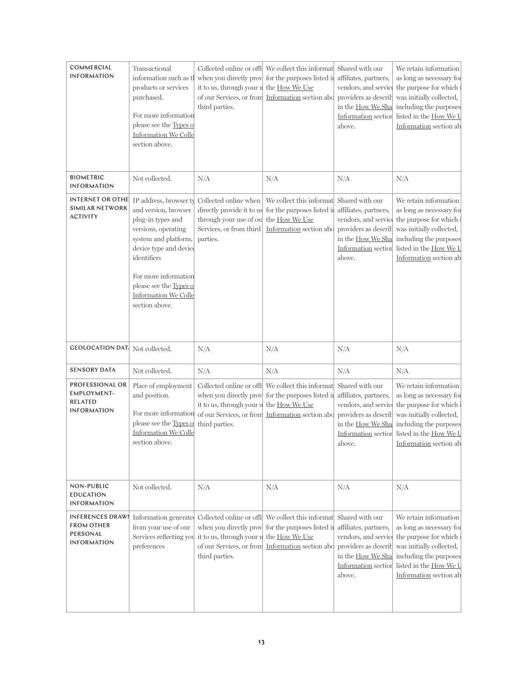| COMMERCIAL<br><b>INFORMATION</b>                                               | Transactional<br>information such as tl<br>products or services<br>purchased.<br>For more information<br>please see the Types of<br>Information We Colle<br>section above.                                                                               | when you directly prov<br>it to us, through your u<br>of our Services, or from<br>third parties.                    | Collected online or offle We collect this informates Shared with our<br>for the purposes listed in<br>the How We Use<br>Information section abo       | affiliates, partners,<br>providers as describ<br>in the How We Sha<br>above.                         | We retain information<br>as long as necessary for<br>vendors, and service the purpose for which<br>was initially collected,<br>including the purposes<br>Information section listed in the How We U<br>Information section ab                      |
|--------------------------------------------------------------------------------|----------------------------------------------------------------------------------------------------------------------------------------------------------------------------------------------------------------------------------------------------------|---------------------------------------------------------------------------------------------------------------------|-------------------------------------------------------------------------------------------------------------------------------------------------------|------------------------------------------------------------------------------------------------------|----------------------------------------------------------------------------------------------------------------------------------------------------------------------------------------------------------------------------------------------------|
| <b>BIOMETRIC</b><br><b>INFORMATION</b>                                         | Not collected.                                                                                                                                                                                                                                           | N/A                                                                                                                 | N/A                                                                                                                                                   | N/A                                                                                                  | N/A                                                                                                                                                                                                                                                |
| INTERNET OR OTHE<br><b>SIMILAR NETWORK</b><br><b>ACTIVITY</b>                  | IP address, browser ty<br>and version, browser<br>plug-in types and<br>versions, operating<br>system and platform,<br>device type and device<br>identifiers<br>For more information<br>please see the Types of<br>Information We Colle<br>section above. | Collected online when<br>directly provide it to us<br>through your use of ou<br>Services, or from third<br>parties. | We collect this informat Shared with our<br>for the purposes listed in<br>the How We Use<br>Information section abo                                   | affiliates, partners,<br>vendors, and service<br>providers as describ<br>in the How We Sha<br>above. | We retain information<br>as long as necessary for<br>the purpose for which<br>was initially collected,<br>including the purposes<br>Information section listed in the How We U<br>Information section ab                                           |
| <b>GEOLOCATION DAT</b> Not collected.                                          |                                                                                                                                                                                                                                                          | N/A                                                                                                                 | N/A                                                                                                                                                   | N/A                                                                                                  | N/A                                                                                                                                                                                                                                                |
| <b>SENSORY DATA</b>                                                            | Not collected.                                                                                                                                                                                                                                           | N/A                                                                                                                 | N/A                                                                                                                                                   | N/A                                                                                                  | N/A                                                                                                                                                                                                                                                |
| PROFESSIONAL OR<br>EMPLOYMENT-<br><b>RELATED</b><br><b>INFORMATION</b>         | Place of employment<br>and position.<br>For more information<br>please see the Types of<br><b>Information We Colle</b><br>section above.                                                                                                                 | when you directly prov<br>it to us, through your u<br>of our Services, or from<br>third parties.                    | Collected online or offl We collect this informat Shared with our<br>for the purposes listed in<br>the How We Use<br>Information section abo          | affiliates, partners,<br>vendors, and service<br>providers as describ<br>above.                      | We retain information<br>as long as necessary for<br>the purpose for which<br>was initially collected,<br>in the How We Sha including the purposes<br>Information section listed in the How We U<br>Information section ab                         |
| NON-PUBLIC<br><b>EDUCATION</b><br><b>INFORMATION</b>                           | Not collected.                                                                                                                                                                                                                                           | N/A                                                                                                                 | N/A                                                                                                                                                   | N/A                                                                                                  | N/A                                                                                                                                                                                                                                                |
| <b>INFERENCES DRAWI</b><br><b>FROM OTHER</b><br>PERSONAL<br><b>INFORMATION</b> | Information generate<br>from your use of our<br>Services reflecting you<br>preferences                                                                                                                                                                   | when you directly prov<br>it to us, through your u<br>third parties.                                                | Collected online or offl We collect this informat<br>for the purposes listed in<br>the How We Use<br>of our Services, or from Information section abo | Shared with our<br>affiliates, partners,<br>in the How We Sha<br>above.                              | We retain information<br>as long as necessary for<br>vendors, and service the purpose for which<br>providers as describ was initially collected,<br>including the purposes<br>Information section listed in the How We U<br>Information section ab |